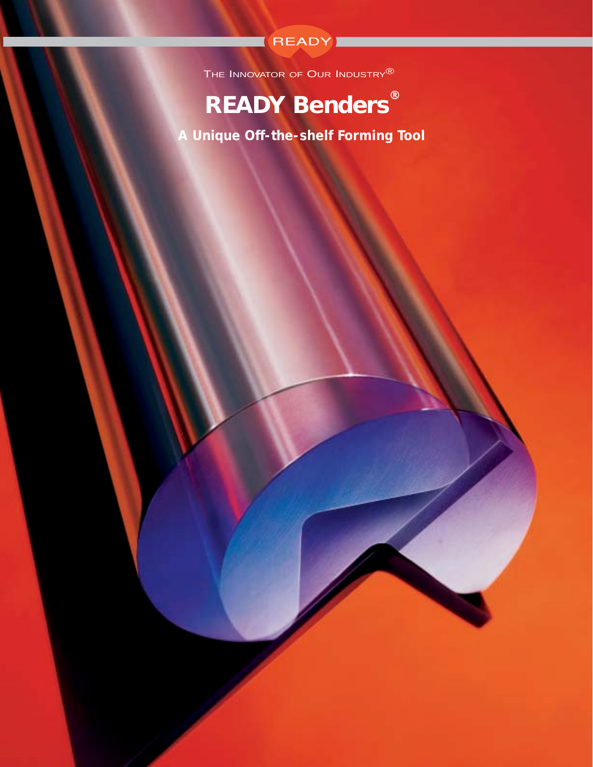

The INNOVATOR OF OUR INDUSTRY<sup>®</sup>

# **READY Benders® READY Benders®**

**Your Partner In Forming Productivity** *A Unique Off-the-shelf Forming Tool*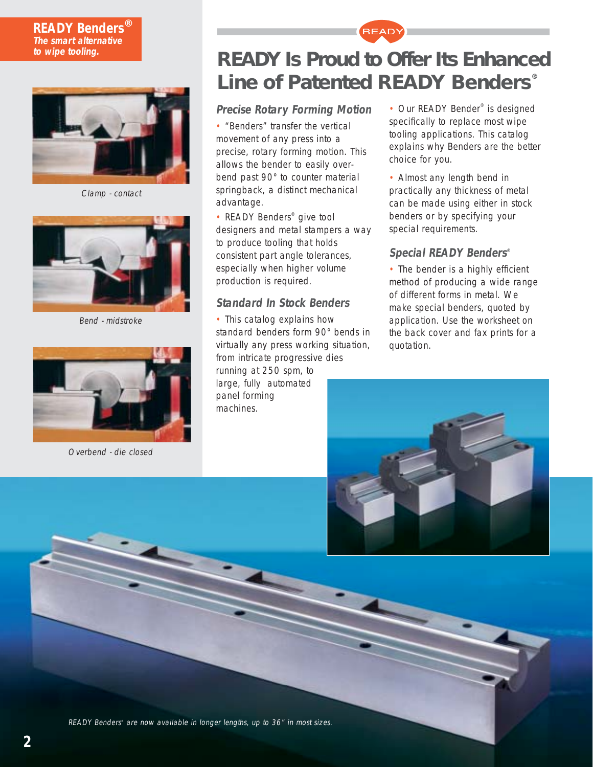### **READY Benders® The smart alternative to wipe tooling.**



Clamp - contact



Bend - midstroke



Overbend - die closed

## **READY Is Proud to Offer Its Enhanced Line of Patented READY Benders**®

READY

## **Precise Rotary Forming Motion**

• "Benders" transfer the vertical movement of any press into a precise, rotary forming motion. This allows the bender to easily overbend past 90° to counter material springback, a distinct mechanical advantage.

• READY Benders<sup>®</sup> give tool designers and metal stampers a way to produce tooling that holds consistent part angle tolerances, especially when higher volume production is required.

## **Standard In Stock Benders**

• This catalog explains how standard benders form 90° bends in virtually any press working situation, from intricate progressive dies

running at 250 spm, to large, fully automated panel forming machines.

• Our READY Bender<sup>®</sup> is designed specifically to replace most wipe tooling applications. This catalog explains why Benders are the better choice for you.

• Almost any length bend in practically any thickness of metal can be made using either in stock benders or by specifying your special requirements.

## **Special READY Benders®**

• The bender is a highly efficient method of producing a wide range of different forms in metal. We make special benders, quoted by application. Use the worksheet on the back cover and fax prints for a quotation.



READY Benders® are now available in longer lengths, up to 36" in most sizes.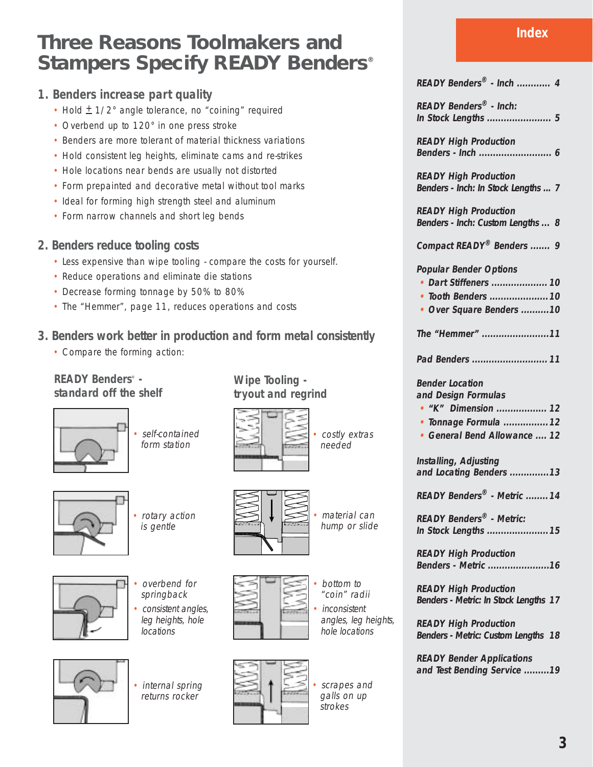## **Three Reasons Toolmakers and Stampers Specify READY Benders®**

## **1. Benders increase part quality**

- Hold  $\pm$  1/2° angle tolerance, no "coining" required
- Overbend up to 120° in one press stroke
- Benders are more tolerant of material thickness variations
- Hold consistent leg heights, eliminate cams and re-strikes
- Hole locations near bends are usually not distorted
- Form prepainted and decorative metal without tool marks
- Ideal for forming high strength steel and aluminum
- Form narrow channels and short leg bends
- **2. Benders reduce tooling costs**
	- Less expensive than wipe tooling compare the costs for yourself.
	- Reduce operations and eliminate die stations
	- Decrease forming tonnage by 50% to 80%
	- The "Hemmer", page 11, reduces operations and costs

## **3. Benders work better in production and form metal consistently**

• Compare the forming action:

## **READY Benders® standard off the shelf**



• self-contained form station



• rotary action is gentle





- overbend for springback
- consistent angles, leg heights, hole locations
- internal spring returns rocker



**Wipe Tooling tryout and regrind**

> scrapes and galls on up

> > strokes

• bottom to "coin" radii **inconsistent** angles, leg heights, hole locations

material can hump or slide

• costly extras needed

**11 Pad Benders ........................... READY Benders® - Inch: READY High Production READY High Production READY High Production Popular Bender Options**

#### **Bender Location and Design Formulas**

**12 • "K" Dimension ..................**

- **12 • Tonnage Formula ................**
- **12 General Bend Allowance ....**

**13 and Locating Benders .............. Installing, Adjusting**

**14 READY Benders® - Metric ........**

**15 In Stock Lengths ...................... READY Benders® - Metric:**

**16 Benders - Metric ...................... READY High Production** 

**17 Benders - Metric: In Stock Lengths READY High Production** 

**18 Benders - Metric: Custom Lengths READY High Production** 

**19 and Test Bending Service ......... READY Bender Applications**

**Index**

| READY Benders® - Inch  4 |  |  |  |  |
|--------------------------|--|--|--|--|
|--------------------------|--|--|--|--|

**5 In Stock Lengths .......................**

**6 Benders - Inch ..........................**

**7 Benders - Inch: In Stock Lengths ...**

**8 Benders - Inch: Custom Lengths ...**

**9 Compact READY® Benders .......**

- **10 • Dart Stiffeners ....................**
- **10 • Tooth Benders .....................**
- **10 Over Square Benders ..........**
- **11 The "Hemmer" ........................**

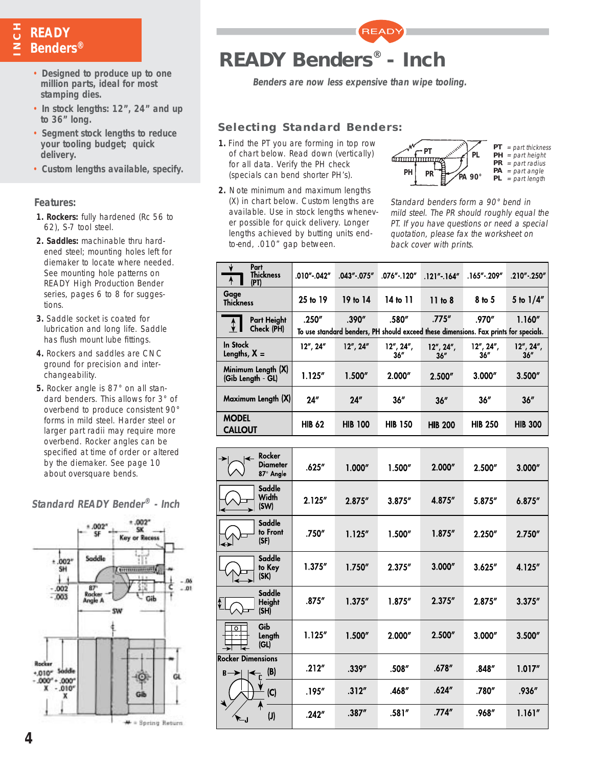# **NCHREADY Benders®**

- **Benders are now less expensive than wipe tooling. Designed to produce up to one million parts, ideal for most stamping dies.**
- **In stock lengths: 12", 24" and up to 36" long.**
- **Segment stock lengths to reduce your tooling budget; quick delivery.**
- **Custom lengths available, specify.**

#### **Features:**

- **1. Rockers:** fully hardened (Rc 56 to 62), S-7 tool steel.
- **2. Saddles:** machinable thru hardened steel; mounting holes left for diemaker to locate where needed. See mounting hole patterns on READY High Production Bender series, pages 6 to 8 for suggestions.
- **3.** Saddle socket is coated for lubrication and long life. Saddle has flush mount lube fittings.
- **4.** Rockers and saddles are CNC ground for precision and interchangeability.
- **5.** Rocker angle is 87° on all standard benders. This allows for 3° of overbend to produce consistent 90° forms in mild steel. Harder steel or larger part radii may require more overbend. Rocker angles can be specified at time of order or altered by the diemaker. See page 10 about oversquare bends.



### **Standard READY Bender® - Inch**



**READY** 

### **Selecting Standard Benders:**

- **1.** Find the PT you are forming in top row of chart below. Read down (vertically) for all data. Verify the PH check (specials can bend shorter PH's).
- **2.** Note minimum and maximum lengths (X) in chart below. Custom lengths are available. Use in stock lengths whenever possible for quick delivery. Longer lengths achieved by butting units endto-end, .010" gap between.



Standard benders form a 90° bend in mild steel. The PR should roughly equal the PT. If you have questions or need a special quotation, please fax the worksheet on back cover with prints.

| Part<br><b>Thickness</b><br>$\overline{A}$<br>(PT) | .010″ .042″   | .043" .075"                                                                          | $.076"$ . 120"    | $.121''$ . $.164''$ | .165".209″          | .210".250"                |  |  |  |  |
|----------------------------------------------------|---------------|--------------------------------------------------------------------------------------|-------------------|---------------------|---------------------|---------------------------|--|--|--|--|
| Gage<br><b>Thickness</b>                           | 25 to 19      | 19 to 14                                                                             | 14 to 11          | 11 to 8             | 8 <sub>to</sub> 5   | 5 to $1/4''$              |  |  |  |  |
| Part Height<br>$\downarrow$                        | .250''        | .390''                                                                               | .580"             | .775''              | .970″               | 1.160''                   |  |  |  |  |
| Check (PH)                                         |               | To use standard benders, PH should exceed these dimensions. Fax prints for specials. |                   |                     |                     |                           |  |  |  |  |
| <b>In Stock</b><br>Lengths, $X =$                  | 12''.24''     | $12''$ , $24''$                                                                      | 12", 24",<br>36'' | 12", 24",<br>36''   | 12'', 24'',<br>36'' | $12''$ , $24''$ ,<br>36'' |  |  |  |  |
| Minimum Length (X)<br>(Gib Length GL)              | 1.125''       | 1.500''                                                                              | 2.000''           | 2.500"              | 3.000''             | 3.500''                   |  |  |  |  |
| Maximum Length (X)                                 | 24"           | 24''                                                                                 | 36''              | 36''                | 36''                | 36''                      |  |  |  |  |
| <b>MODEL</b><br><b>CALLOUT</b>                     | <b>HIB 62</b> | <b>HIB 100</b>                                                                       | <b>HIB 150</b>    | <b>HIB 200</b>      | <b>HIB 250</b>      | <b>HIB 300</b>            |  |  |  |  |

| $\overline{\phantom{0}}$                    | Rocker<br><b>Diameter</b><br>87° Angle | .625''  | 1.000'' | 1.500"  | 2.000'' | 2.500"  | 3.000"  |
|---------------------------------------------|----------------------------------------|---------|---------|---------|---------|---------|---------|
|                                             | Saddle<br>Width<br>(SW)                | 2.125"  | 2.875'' | 3.875'' | 4.875"  | 5.875"  | 6.875'' |
| ↞                                           | Saddle<br>to Front<br>(SF)             | .750″   | 1.125'' | 1.500'' | 1.875'' | 2.250"  | 2.750'' |
|                                             | Saddle<br>to Key<br>(SK)               | 1.375'' | 1.750'' | 2.375"  | 3.000'' | 3.625'' | 4.125"  |
| I¢                                          | Saddle<br><b>Height</b><br>(SH)        | .875''  | 1.375'' | 1.875'' | 2.375'' | 2.875"  | 3.375'' |
| $\overline{\circ}$                          | Gib<br>Length<br>(GL)                  | 1.125'' | 1.500'' | 2.000"  | 2.500"  | 3.000"  | 3.500'' |
| <b>Rocker Dimensions</b><br>$B \rightarrow$ | (B)<br>$\overline{\mathbf{f}}_t$       | .212''  | .339''  | .508″   | .678″   | .848″   | 1.017'' |
|                                             | (C)                                    | .195″   | .312''  | .468"   | .624″   | .780"   | .936"   |
| ال−                                         | $\mathsf{U}\mathsf{)}$                 | .242''  | .387''  | .581''  | .774''  | .968"   | 1.161'' |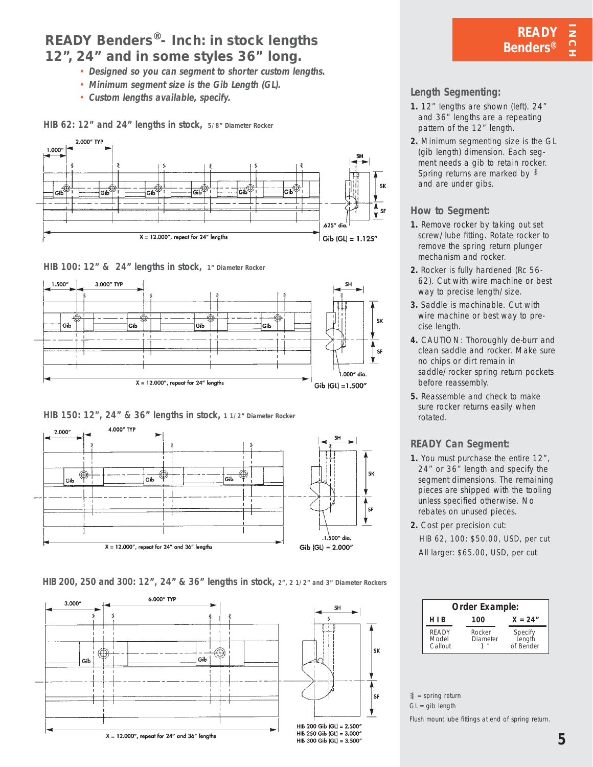## **READY Benders®- Inch: in stock lengths 12", 24" and in some styles 36" long.**

- **Designed so you can segment to shorter custom lengths.**
- **Minimum segment size is the Gib Length (GL).**
- **Custom lengths available, specify.**

**HIB 62: 12" and 24" lengths in stock, 5/8" Diameter Rocker**



**HIB 100: 12" & 24" lengths in stock, 1" Diameter Rocker**



**HIB 150: 12", 24" & 36" lengths in stock, 1 1/2" Diameter Rocker**



**HIB 200, 250 and 300: 12", 24" & 36" lengths in stock, 2", 2 1/2" and 3" Diameter Rockers**



## **Length Segmenting:**

- **1.** 12" lengths are shown (left). 24" and 36" lengths are a repeating pattern of the 12" length.
- **2.** Minimum segmenting size is the GL (gib length) dimension. Each segment needs a gib to retain rocker. Spring returns are marked by  $\bar{*}$ and are under gibs.

### **How to Segment:**

- **1.** Remove rocker by taking out set screw/lube fitting. Rotate rocker to remove the spring return plunger mechanism and rocker.
- **2.** Rocker is fully hardened (Rc 56- 62). Cut with wire machine or best way to precise length/size.
- **3.** Saddle is machinable. Cut with wire machine or best way to precise length.
- **4.** CAUTION: Thoroughly de-burr and clean saddle and rocker. Make sure no chips or dirt remain in saddle/rocker spring return pockets before reassembly.
- **5.** Reassemble and check to make sure rocker returns easily when rotated.

## **READY Can Segment:**

- **1.** You must purchase the entire 12", 24" or 36" length and specify the segment dimensions. The remaining pieces are shipped with the tooling unless specified otherwise. No rebates on unused pieces.
- **2.** Cost per precision cut: HIB 62, 100: \$50.00, USD, per cut All larger: \$65.00, USD, per cut

| Order Example:            |                                   |                                |  |  |  |  |  |
|---------------------------|-----------------------------------|--------------------------------|--|--|--|--|--|
| HIB                       | 100                               | $X = 24"$                      |  |  |  |  |  |
| READY<br>Model<br>Callout | Rocker<br>Diameter<br>$^{\prime}$ | Specify<br>Length<br>of Bender |  |  |  |  |  |

 $\frac{1}{2}$  = spring return

 $GL = gib$  length

Flush mount lube fittings at end of spring return.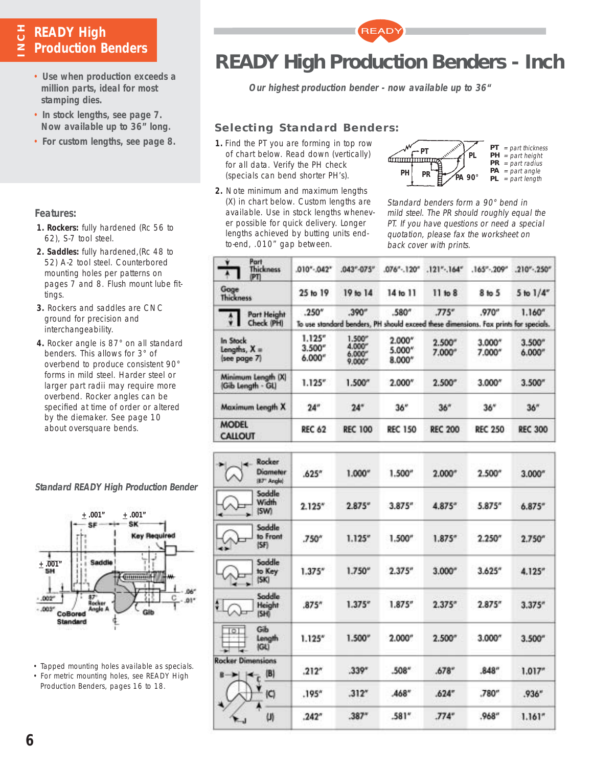## **E** READY High<br>**z** Production B **Production Benders**

- **Use when production exceeds a million parts, ideal for most stamping dies.**
- **In stock lengths, see page 7. Now available up to 36" long.**
- **For custom lengths, see page 8.**

#### **Features:**

- **1. Rockers:** fully hardened (Rc 56 to 62), S-7 tool steel.
- **2. Saddles:** fully hardened,(Rc 48 to 52) A-2 tool steel. Counterbored mounting holes per patterns on pages 7 and 8. Flush mount lube fittings.
- **3.** Rockers and saddles are CNC ground for precision and interchangeability.
- **4.** Rocker angle is 87° on all standard benders. This allows for 3° of overbend to produce consistent 90° forms in mild steel. Harder steel or larger part radii may require more overbend. Rocker angles can be specified at time of order or altered by the diemaker. See page 10 about oversquare bends.



- Tapped mounting holes available as specials.
- For metric mounting holes, see READY High Production Benders, pages 16 to 18.



**READ** 

**Our highest production bender - now available up to 36"**

## **Selecting Standard Benders:**

- **1.** Find the PT you are forming in top row of chart below. Read down (vertically) for all data. Verify the PH check (specials can bend shorter PH's).
- **2.** Note minimum and maximum lengths (X) in chart below. Custom lengths are available. Use in stock lengths whenever possible for quick delivery. Longer lengths achieved by butting units endto-end, .010" gap between.



Standard benders form a 90° bend in mild steel. The PR should roughly equal the PT. If you have questions or need a special quotation, please fax the worksheet on back cover with prints.

| Part<br>▾<br><b>Thickness</b><br>PΠ                  | $.010-.042"$                  | $.043 - 075$                                    | $.076^{\circ}$ - 120°      | $.121-.164"$      | $.165^{\circ}$ - . $209^{\circ}$                                                              | $.210-.250"$      |
|------------------------------------------------------|-------------------------------|-------------------------------------------------|----------------------------|-------------------|-----------------------------------------------------------------------------------------------|-------------------|
| Goge<br><b>Thickness</b>                             | 25 to 19                      | 19 to 14                                        | 14 to 11                   | 11 to 8           | 8 <sub>10</sub> 5                                                                             | 5 to $1/4$ "      |
| <b>Part Height</b><br>$\ddot{\ddot{}}$<br>Check (PH) | .250''                        | .390''                                          | .580"                      | J75"              | .970°<br>To use standard benders, PH should exceed these dimensions. Fax prints for specials. | 1.160''           |
| In Stock<br>Lengths, X =<br>(see page 7)             | 1.125''<br>3.500''<br>6.000'' | 1.500''<br>4.000"<br>$6,000^{\circ}$<br>9.000'' | 2.000*<br>5.000*<br>8.000* | 2.500''<br>7.000" | 3.000"<br>7.000*                                                                              | 3.500''<br>6.000" |
| Minimum Length (X)<br>(Gib Length - GL)              | 1.125''                       | 1.500''                                         | 2.000*                     | 2.500''           | 3.000''                                                                                       | 3.500''           |
| Maximum Length X                                     | 24"                           | 24"                                             | 36"                        | 36''              | 36"                                                                                           | 36 <sup>n</sup>   |
| <b>MODEL</b><br><b>CALLOUT</b>                       | <b>REC 62</b>                 | <b>REC 100</b>                                  | <b>REC 150</b>             | <b>REC 200</b>    | <b>REC 250</b>                                                                                | <b>REC 300</b>    |

| Rocker<br><b>Diameter</b><br>(87 <sup>+</sup> Angle) | .625''            | 1.000''         | 1.500'' | 2.000''            | 2.500'' | 3.000'' |
|------------------------------------------------------|-------------------|-----------------|---------|--------------------|---------|---------|
| Saddle<br>Width<br>(SW)                              | 2.125''           | 2.875''         | 3.875'' | 4.875''            | 5.875"  | 6.875'' |
| Saddle<br>to Front<br>(SF)                           | .750*             | 1.125''         | 1.500'' | 1.875''            | 2.250'' | 2.750'' |
| Saddle<br>to Key<br>(SK)                             | 1.375''           | $1.750^{\circ}$ | 2.375'' | 3.000 <sup>o</sup> | 3.625'' | 4.125"  |
| Saddle<br>H<br>Height<br>(SH)                        | .875 <sup>7</sup> | 1.375''         | 1.875'' | 2.375''            | 2.875'' | 3.375'' |
| Gib<br>$\circ$<br>Length<br><b>IGU</b>               | 1.125''           | 1.500''         | 2.000"  | $2.500^{\circ}$    | 3.000'' | 3.500'' |
| <b>Rocker Dimensions</b><br> B <br>B                 | .212''            | .339"           | $.508*$ | .678''             | .848''  | 1.017'' |
| C                                                    | .195''            | .312''          | .468*   | .624''             | .780"   | .936''  |
| 비                                                    | .242 <sup>o</sup> | $.387*$         | .581''  | .774''             | .968''  | 1.161'' |

### **Standard READY High Production Bender**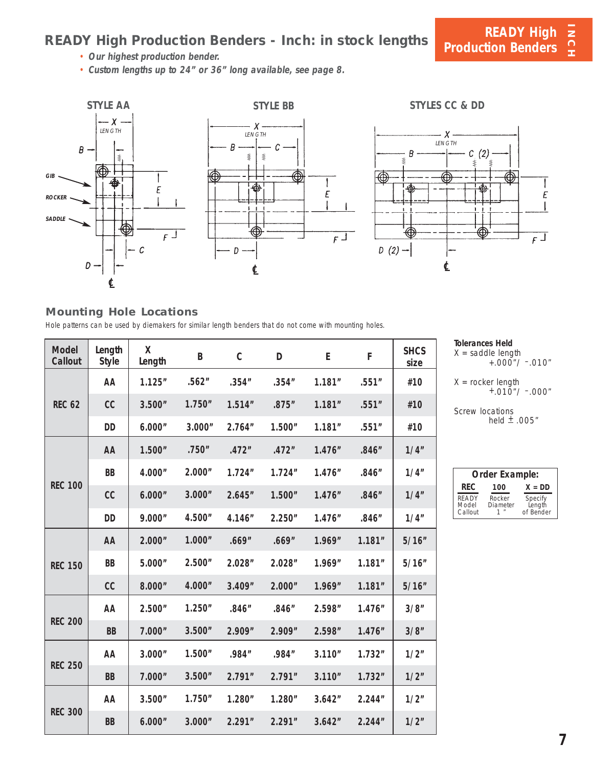## **READY High Production Benders - Inch: in stock lengths**

• **Our highest production bender.**

• **Custom lengths up to 24" or 36" long available, see page 8.**



### **Mounting Hole Locations**

Hole patterns can be used by diemakers for similar length benders that do not come with mounting holes.

| <b>Model</b><br>Callout | Length<br><b>Style</b> | Χ<br>Length | B       | $\mathsf C$ | D       | E       | F       | <b>SHCS</b><br>size |
|-------------------------|------------------------|-------------|---------|-------------|---------|---------|---------|---------------------|
|                         | AA                     | 1.125''     | .562''  | .354''      | .354''  | 1.181'' | .551''  | #10                 |
| <b>REC 62</b>           | cc                     | 3.500"      | 1.750'' | 1.514''     | .875''  | 1.181'' | .551''  | #10                 |
|                         | DD                     | 6.000"      | 3.000"  | 2.764"      | 1.500"  | 1.181"  | .551''  | #10                 |
|                         | AA                     | 1.500''     | .750"   | .472"       | .472"   | 1.476'' | .846''  | 1/4"                |
|                         | BB                     | 4.000"      | 2.000"  | 1.724''     | 1.724'' | 1.476"  | .846''  | 1/4"                |
| <b>REC 100</b>          | cc                     | 6.000"      | 3.000"  | 2.645"      | 1.500"  | 1.476'' | .846''  | 1/4"                |
|                         | <b>DD</b>              | 9.000"      | 4.500"  | 4.146"      | 2.250"  | 1.476'' | .846''  | 1/4"                |
|                         | AA                     | 2.000"      | 1.000"  | .669"       | .669"   | 1.969"  | 1.181'' | 5/16"               |
| <b>REC 150</b>          | <b>BB</b>              | 5.000"      | 2.500"  | 2.028"      | 2.028"  | 1.969"  | 1.181'' | 5/16"               |
|                         | cc                     | 8.000"      | 4.000"  | 3.409"      | 2.000"  | 1.969"  | 1.181'' | 5/16"               |
|                         | AA                     | 2.500"      | 1.250"  | .846''      | .846''  | 2.598"  | 1.476"  | 3/8"                |
| <b>REC 200</b>          | <b>BB</b>              | 7.000"      | 3.500"  | 2.909"      | 2.909"  | 2.598"  | 1.476'' | 3/8"                |
|                         | AA                     | 3.000"      | 1.500"  | .984"       | .984"   | 3.110"  | 1.732"  | 1/2"                |
| <b>REC 250</b>          | <b>BB</b>              | 7.000"      | 3.500"  | 2.791"      | 2.791"  | 3.110"  | 1.732"  | 1/2"                |
|                         | AA                     | 3.500"      | 1.750'' | 1.280''     | 1.280"  | 3.642"  | 2.244"  | 1/2"                |
| <b>REC 300</b>          | <b>BB</b>              | 6.000"      | 3.000"  | 2.291"      | 2.291"  | 3.642"  | 2.244"  | 1/2"                |

**Tolerances Held**

 $X =$  saddle length  $+.000$ "/  $-.010"$ 

 $X =$  rocker length<br>+.010"/ –.000"

Screw locations held  $±$  .005"

| Order Example:                   |                                         |                                |  |  |  |  |  |  |
|----------------------------------|-----------------------------------------|--------------------------------|--|--|--|--|--|--|
| RFC.<br>$X = DD$<br>100          |                                         |                                |  |  |  |  |  |  |
| <b>READY</b><br>Model<br>Callout | Rocker<br>Diameter<br>$^{\prime\prime}$ | Specify<br>Length<br>of Bender |  |  |  |  |  |  |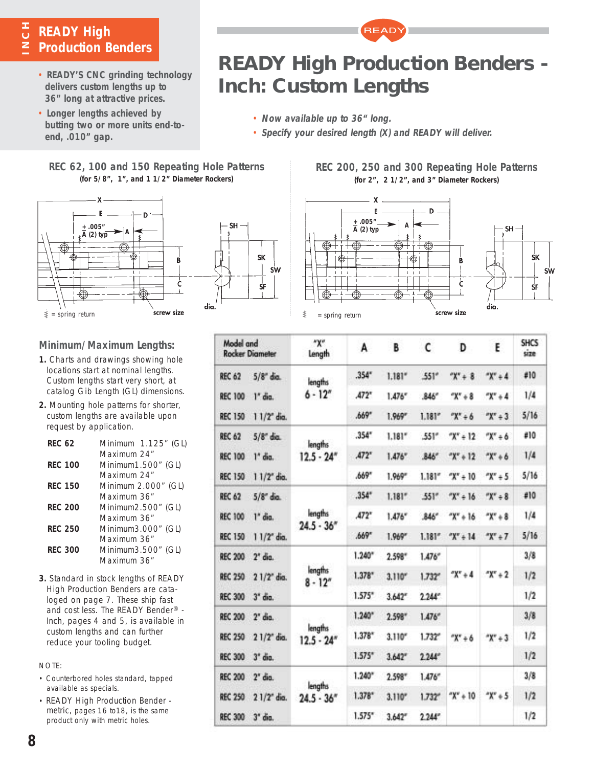## **NCH**<br>**Z** Production B **Production Benders**

- **READY'S CNC grinding technology delivers custom lengths up to 36" long at attractive prices.**
- **Longer lengths achieved by butting two or more units end-toend, .010" gap.**

## **REC 62, 100 and 150 Repeating Hole Patterns (for 5/8", 1", and 1 1/2" Diameter Rockers)**





## **REC 200, 250 and 300 Repeating Hole Patterns (for 2", 2 1/2", and 3" Diameter Rockers)**

**READY High Production Benders -**

**READY** 

• **Specify your desired length (X) and READY will deliver.**

**Inch: Custom Lengths**

• **Now available up to 36" long.**



| Model and<br><b>Rocker Diameter</b>        | "X"<br>Length            | A        | B       | c               | D          | E          | <b>SHCS</b><br>size |
|--------------------------------------------|--------------------------|----------|---------|-----------------|------------|------------|---------------------|
| $5/8$ " dia.<br><b>REC 62</b>              | lengths                  | .354''   | 1.181'' | .551''          | $X'' + 8$  | $X'' + 4$  | #10                 |
| <b>REC 100</b><br>1" dia.                  | $6 - 12''$               | A72"     | 1.476'' | .846''          | $X'' + 8$  | $X^* + 4$  | 1/4                 |
| <b>REC 150</b><br>11/2" dia.               |                          | .669"    | 1.969'' | 1.181''         | $X^* + 6$  | $X'' + 3$  | 5/16                |
| <b>REC 62</b><br>$5/8$ " dia.              | lengths                  | .354''   | 1.181'' | .551''          | $X'' + 12$ | $X'' + 6$  | #10                 |
| <b>REC 100</b><br>$1"$ dia.                | $12.5 - 24''$            | A72"     | 1.476'' | .846"           | $X'' + 12$ | $X'' + 6$  | 1/4                 |
| <b>REC 150</b><br>11/2" dia.               |                          | .669"    | 1.969"  | 1.181''         | $X'' + 10$ | $X'' + 5$  | 5/16                |
| <b>REC 62</b><br>$5/8$ " dia.              |                          | .354''   | 1.181'' | .551"           | $X^* + 16$ | $X'' + 8$  | #10                 |
| <b>REC 100</b><br>$1"$ dia.                | lengths<br>$24.5 - 36''$ | A72"     | 1.476'' | 846"            | $X'' + 16$ | $8 + 7X^*$ | 1/4                 |
| <b>REC 150</b><br>11/2" dia.               |                          | .669"    | 1.969*  | 1.181''         | $X'' + 14$ | $*X^* + 7$ | 5/16                |
| <b>REC 200</b><br>$2*$ dia.                |                          | 1.240"   | 2.598"  | 1.476''         | $X'' + 4$  | $X'' + 2$  | 3/8                 |
| <b>REC 250</b><br>21/2" dia.               | lengths<br>$8 - 12^{n}$  | 1.378"   | 3.110'' | 1.732''         |            |            | 1/2                 |
| <b>REC 300</b><br>3 <sup>*</sup> dia.      |                          | $1.575*$ | 3.642'' | $2.244^{\circ}$ |            |            | 1/2                 |
| <b>REC 200</b><br>$2"$ dia.                |                          | 1.240"   | 2.598"  | 1.476''         |            |            | 3/8                 |
| <b>REC 250</b><br>21/2" dia.               | lengths<br>$12.5 - 24''$ | $1.378*$ | 3.110"  | 1.732''         | $X'' + 6$  | $*x* + 3$  | 1/2                 |
| <b>REC 300</b><br>$3"$ dia.                |                          | 1.575"   | 3.642'' | $2.244^{\circ}$ |            |            | 1/2                 |
| <b>REC 200</b><br>$2"$ dia.                |                          | 1.240"   | 2.598"  | 1.476''         |            |            | 3/8                 |
| <b>REC 250</b><br>$21/2$ <sup>*</sup> dia. | lengths<br>$24.5 - 36''$ | $1.378*$ | 3.110'' | 1.732''         | $X'' + 10$ | $X'' + 5$  | 1/2                 |
| <b>REC 300</b><br>$3"$ dia.                |                          | $1.575*$ | 3.642'' | 2.244''         |            |            | 1/2                 |

**Minimum/Maximum Lengths:**

- **1.** Charts and drawings showing hole locations start at nominal lengths. Custom lengths start very short, at catalog Gib Length (GL) dimensions.
- **2.** Mounting hole patterns for shorter, custom lengths are available upon request by application.

| RFC 62         | Minimum 1.125" (GL)<br>Maximum 24" |
|----------------|------------------------------------|
| <b>REC 100</b> | Minimum1.500" (GL)<br>Maximum 24"  |
| <b>REC 150</b> | Minimum 2.000" (GL)<br>Maximum 36" |
| <b>RFC 200</b> | Minimum2.500" (GL)<br>Maximum 36"  |
| RFC 250        | Minimum3.000" (GL)<br>Maximum 36"  |
| <b>RFC 300</b> | Minimum3.500" (GL)<br>Maximum 36"  |

**3.** Standard in stock lengths of READY High Production Benders are cataloged on page 7. These ship fast and cost less. The READY Bender® - Inch, pages 4 and 5, is available in custom lengths and can further reduce your tooling budget.

### NOTE:

- Counterbored holes standard, tapped available as specials.
- READY High Production Bender metric, pages 16 to18, is the same product only with metric holes.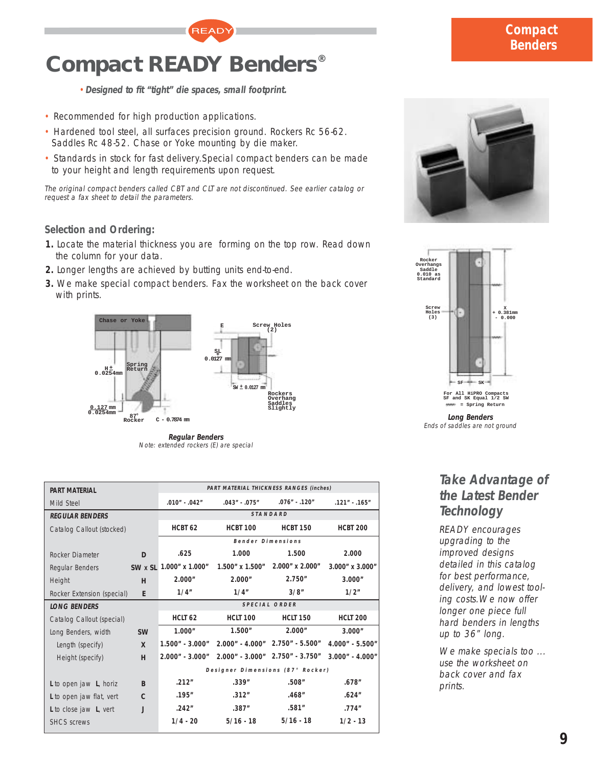# **Compact READY Benders®**

- •**Designed to fit "tight" die spaces, small footprint.**
- Recommended for high production applications.
- Hardened tool steel, all surfaces precision ground. Rockers Rc 56-62. Saddles Rc 48-52. Chase or Yoke mounting by die maker.
- Standards in stock for fast delivery.Special compact benders can be made to your height and length requirements upon request.

**READY** 

The original compact benders called CBT and CLT are not discontinued. See earlier catalog or request a fax sheet to detail the parameters.

## **Selection and Ordering:**

- **1.** Locate the material thickness you are forming on the top row. Read down the column for your data.
- **2.** Longer lengths are achieved by butting units end-to-end.
- **3.** We make special compact benders. Fax the worksheet on the back cover with prints.



**Regular Benders** Note: extended rockers (E) are special

| <b>PART MATERIAL</b>       |           |                         | PART MATERIAL THICKNESS RANGES (inches) |                                 |                       |
|----------------------------|-----------|-------------------------|-----------------------------------------|---------------------------------|-----------------------|
| Mild Steel                 |           | .010" - .042"           | $.043" - .075"$                         | $.076" - .120"$                 | $.121" - .165"$       |
| <b>REGULAR BENDERS</b>     |           |                         |                                         | STANDARD                        |                       |
| Catalog Callout (stocked)  |           | HCBT <sub>62</sub>      | <b>HCBT 100</b>                         | <b>HCBT 150</b>                 | <b>HCBT 200</b>       |
|                            |           |                         | Bender Dimensions                       |                                 |                       |
| Rocker Diameter            | D         | .625                    | 1.000                                   | 1.500                           | 2.000                 |
| Regular Benders            |           | SW x SL 1.000" x 1.000" | 1.500" x 1.500"                         | $2.000''$ x $2.000''$           | $3.000''$ x $3.000''$ |
| Height                     | H         | 2.000"                  | 2.000"                                  | 2.750''                         | 3.000"                |
| Rocker Extension (special) | E         | 1/4"                    | 1/4"                                    | 3/8"                            | 1/2"                  |
| <b>LONG BENDERS</b>        |           |                         |                                         | SPECIAL ORDER                   |                       |
| Catalog Callout (special)  |           | HCLT 62                 | <b>HCLT 100</b>                         | <b>HCLT 150</b>                 | <b>HCLT 200</b>       |
| Long Benders, width        | <b>SW</b> | 1.000"                  | 1.500"                                  | 2.000"                          | 3.000"                |
| Length (specify)           | X         | $1.500" - 3.000"$       |                                         | 2.000" - 4.000" 2.750" - 5.500" | 4.000" - 5.500"       |
| Height (specify)           | н         | $2.000" - 3.000"$       |                                         | 2.000" - 3.000" 2.750" - 3.750" | $3.000" - 4.000"$     |
|                            |           |                         | Designer Dimensions (87° Rocker)        |                                 |                       |
| L to open jaw L, horiz     | B         | .212"                   | .339''                                  | .508''                          | .678″                 |
| L to open jaw flat, vert   | C         | .195"                   | .312"                                   | .468″                           | .624''                |
| L to close jaw L, vert     | J         | .242"                   | .387''                                  | .581''                          | .774''                |
| <b>SHCS</b> screws         |           | $1/4 - 20$              | $5/16 - 18$                             | $5/16 - 18$                     | $1/2 - 13$            |
|                            |           |                         |                                         |                                 |                       |





**Long Benders** Ends of saddles are not ground

## **Take Advantage of the Latest Bender Technology**

READY encourages upgrading to the improved designs detailed in this catalog for best performance, delivery, and lowest tooling costs.We now offer longer one piece full hard benders in lengths up to 36" long.

We make specials too ... use the worksheet on back cover and fax prints.

## **Compact Benders**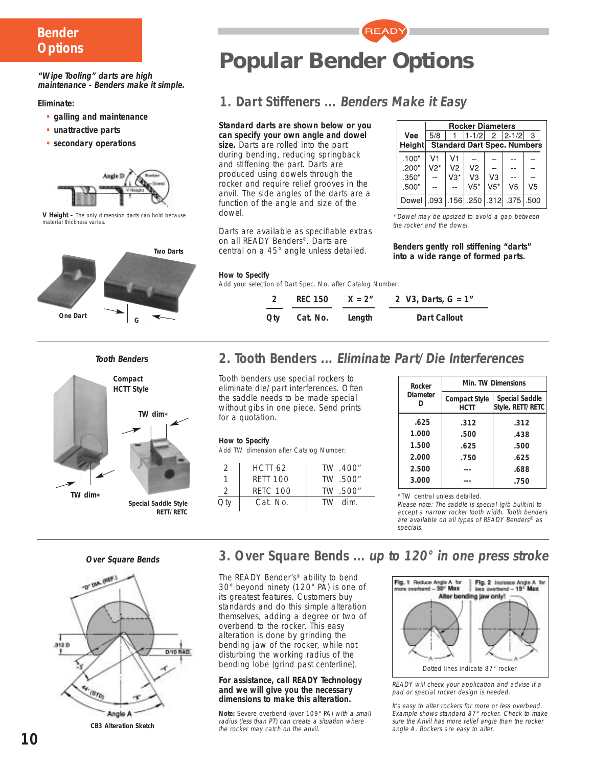## **Bender Options**

**"Wipe Tooling" darts are high maintenance - Benders make it simple.**

**Eliminate:**

- **• galling and maintenance**
- **• unattractive parts**
- **• secondary operations**



**V Height –** The only dimension darts can hold because material thickness varies.







**Special Saddle Style RETT/RETC**



**READY** 

## **1. Dart Stiffeners ... Benders Make it Easy**

#### **Standard darts are shown below or you**

**can specify your own angle and dowel size.** Darts are rolled into the part during bending, reducing springback and stiffening the part. Darts are produced using dowels through the rocker and require relief grooves in the anvil. The side angles of the darts are a function of the angle and size of the dowel.

Darts are available as specifiable extras on all READY Benders®. Darts are central on a 45° angle unless detailed.

|                                           | <b>Rocker Diameters</b> |                                    |                |                |             |                |  |  |  |  |
|-------------------------------------------|-------------------------|------------------------------------|----------------|----------------|-------------|----------------|--|--|--|--|
| Vee                                       | 5/8                     |                                    | $1 - 1/2$      |                | $2$   2-1/2 | 3              |  |  |  |  |
| <b>Height</b>                             |                         | <b>Standard Dart Spec. Numbers</b> |                |                |             |                |  |  |  |  |
| .100"                                     | V1                      | V1                                 |                |                |             |                |  |  |  |  |
| .200"                                     | $V2*$                   | V <sub>2</sub>                     | V <sub>2</sub> |                |             |                |  |  |  |  |
| .350"                                     |                         | V3*                                | V <sub>3</sub> | V <sub>3</sub> |             |                |  |  |  |  |
| .500"                                     |                         |                                    | $V5*$          | $V5*$          | V5          | V <sub>5</sub> |  |  |  |  |
| Dowel   093   156   250   312   375   500 |                         |                                    |                |                |             |                |  |  |  |  |

\*Dowel may be upsized to avoid a gap between the rocker and the dowel.

**Benders gently roll stiffening "darts" into a wide range of formed parts.**

#### **How to Specify**

Add your selection of Dart Spec. No. after Catalog Number:

|     | REC 150  | $X = 2n$ | 2 V3, Darts, $G = 1n$ |
|-----|----------|----------|-----------------------|
| Qtv | Cat. No. | Length   | Dart Callout          |

## **2. Tooth Benders ... Eliminate Part/Die Interferences**

Tooth benders use special rockers to eliminate die/part interferences. Often the saddle needs to be made special without gibs in one piece. Send prints for a quotation.

#### **How to Specify**

Add TW dimension after Catalog Number:

| $\mathcal{D}$ | HCTT 62         | TW 400" |
|---------------|-----------------|---------|
|               | <b>RETT 100</b> | TW 500" |
| 2             | <b>RETC 100</b> | TW 500" |
| Qty           | Cat. No.        | TW dim. |

| Rocker          | <b>Min. TW Dimensions</b>           |                                           |  |  |  |  |
|-----------------|-------------------------------------|-------------------------------------------|--|--|--|--|
| <b>Diameter</b> | <b>Compact Style</b><br><b>HCTT</b> | <b>Special Saddle</b><br>Style, RETT/RETC |  |  |  |  |
| .625            | .312                                | .312                                      |  |  |  |  |
| 1.000           | .500                                | .438                                      |  |  |  |  |
| 1.500           | .625                                | .500                                      |  |  |  |  |
| 2.000           | .750                                | .625                                      |  |  |  |  |
| 2.500           |                                     | .688                                      |  |  |  |  |
| 3.000           |                                     | .750                                      |  |  |  |  |

\*TW central unless detailed.

Please note: The saddle is special (gib built-in) to accept a narrow rocker tooth width. Tooth benders are available on all types of READY Benders® as specials.

**Over Square Bends**



**3. Over Square Bends ... up to 120° in one press stroke**

The READY Bender's® ability to bend 30° beyond ninety (120° PA) is one of its greatest features. Customers buy standards and do this simple alteration themselves, adding a degree or two of overbend to the rocker. This easy alteration is done by grinding the bending jaw of the rocker, while not disturbing the working radius of the bending lobe (grind past centerline).

#### **For assistance, call READY Technology and we will give you the necessary dimensions to make this alteration.**

**Note:** Severe overbend (over 109° PA) with a small radius (less than PT) can create a situation where the rocker may catch on the anvil.



READY will check your application and advise if a pad or special rocker design is needed.

It's easy to alter rockers for more or less overbend. Example shows standard 87° rocker. Check to make sure the Anvil has more relief angle than the rocker angle A. Rockers are easy to alter.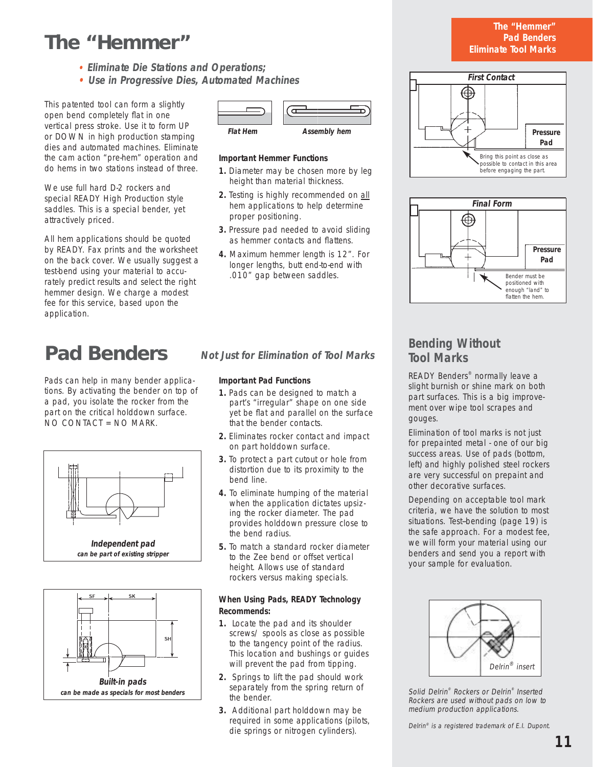## **The "Hemmer"**

- **Eliminate Die Stations and Operations;**
- **• Use in Progressive Dies, Automated Machines**

This patented tool can form a slightly open bend completely flat in one vertical press stroke. Use it to form UP or DOWN in high production stamping dies and automated machines. Eliminate the cam action "pre-hem" operation and do hems in two stations instead of three.

We use full hard D-2 rockers and special READY High Production style saddles. This is a special bender, yet attractively priced.

All hem applications should be quoted by READY. Fax prints and the worksheet on the back cover. We usually suggest a test-bend using your material to accurately predict results and select the right hemmer design. We charge a modest fee for this service, based upon the application.

## **Pad Benders**

Pads can help in many bender applications. By activating the bender on top of a pad, you isolate the rocker from the part on the critical holddown surface. NO CONTACT = NO MARK.







#### **Important Hemmer Functions**

- **1.** Diameter may be chosen more by leg height than material thickness.
- **2.** Testing is highly recommended on all hem applications to help determine proper positioning.
- **3.** Pressure pad needed to avoid sliding as hemmer contacts and flattens.
- **4.** Maximum hemmer length is 12". For longer lengths, butt end-to-end with .010" gap between saddles.

## **Not Just for Elimination of Tool Marks**

#### **Important Pad Functions**

- **1.** Pads can be designed to match a part's "irregular" shape on one side yet be flat and parallel on the surface that the bender contacts.
- **2.** Eliminates rocker contact and impact on part holddown surface.
- **3.** To protect a part cutout or hole from distortion due to its proximity to the bend line.
- **4.** To eliminate humping of the material when the application dictates upsizing the rocker diameter. The pad provides holddown pressure close to the bend radius.
- **5.** To match a standard rocker diameter to the Zee bend or offset vertical height. Allows use of standard rockers versus making specials.

#### **When Using Pads, READY Technology Recommends:**

- **1.** Locate the pad and its shoulder screws/ spools as close as possible to the tangency point of the radius. This location and bushings or guides will prevent the pad from tipping.
- **2.** Springs to lift the pad should work separately from the spring return of the bender.
- **3.** Additional part holddown may be required in some applications (pilots, die springs or nitrogen cylinders).

#### **The "Hemmer" Pad Benders Eliminate Tool Marks**





## **Bending Without Tool Marks**

READY Benders® normally leave a slight burnish or shine mark on both part surfaces. This is a big improvement over wipe tool scrapes and gouges.

Elimination of tool marks is not just for prepainted metal - one of our big success areas. Use of pads (bottom, left) and highly polished steel rockers are very successful on prepaint and other decorative surfaces.

Depending on acceptable tool mark criteria, we have the solution to most situations. Test--bending (page 19) is the safe approach. For a modest fee, we will form your material using our benders and send you a report with your sample for evaluation.



Solid Delrin® Rockers or Delrin® Inserted Rockers are used without pads on low to medium production applications.

Delrin<sup>®</sup> is a registered trademark of E.I. Dupont.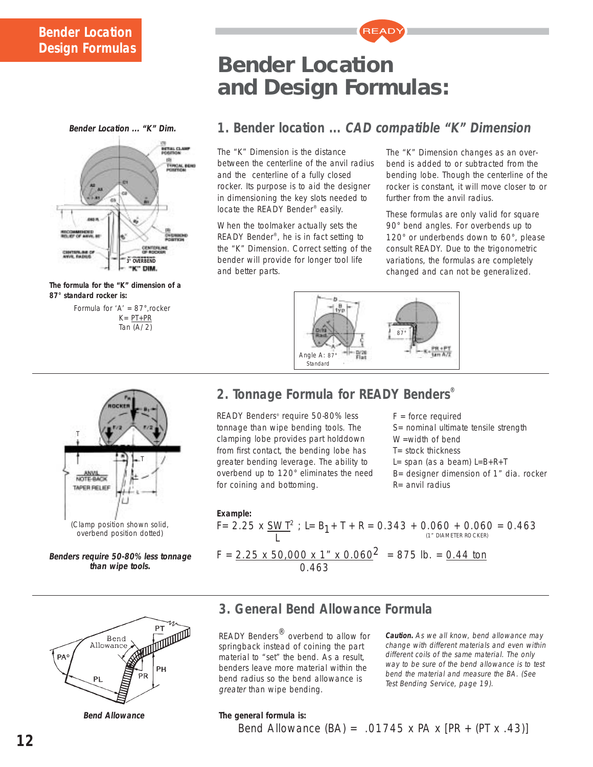## **Bender Location Design Formulas**





**The formula for the "K" dimension of a 87° standard rocker is:**

Formula for 'A' = 87°,rocker  $K = PT + PR$ Tan (A/2)

## T T NOTE-BACK **TAPER RELIEF** (Clamp position shown solid, overbend position dotted)

**Benders require 50-80% less tonnage than wipe tools.**



**Bend Allowance**

## **Bender Location and Design Formulas:**

## **1. Bender location ... CAD compatible "K" Dimension**

**READY** 

The "K" Dimension is the distance between the centerline of the anvil radius and the centerline of a fully closed rocker. Its purpose is to aid the designer in dimensioning the key slots needed to locate the READY Bender® easily.

When the toolmaker actually sets the READY Bender®, he is in fact setting to the "K" Dimension. Correct setting of the bender will provide for longer tool life and better parts.

The "K" Dimension changes as an overbend is added to or subtracted from the bending lobe. Though the centerline of the rocker is constant, it will move closer to or further from the anvil radius.

These formulas are only valid for square 90° bend angles. For overbends up to 120° or underbends down to 60°, please consult READY. Due to the trigonometric variations, the formulas are completely changed and can not be generalized.



## **2. Tonnage Formula for READY Benders®**

READY Benders® require 50-80% less tonnage than wipe bending tools. The clamping lobe provides part holddown from first contact, the bending lobe has greater bending leverage. The ability to overbend up to 120° eliminates the need for coining and bottoming.

 $F =$  force required S= nominal ultimate tensile strength W=width of bend  $T =$  stock thickness L= span (as a beam)  $L=B+R+T$ B= designer dimension of 1" dia. rocker

R= anvil radius

#### **Example:**

F= 2.25 x  $\underline{\text{SWT}}^2$ ; L= B<sub>1</sub>+ T + R = 0.343 + 0.060 + 0.060 = 0.463 L (1" DIAMETER ROCKER)  $F = 2.25 \times 50,000 \times 1" \times 0.060^2 = 875$  lb. = 0.44 ton 0.463

## **3. General Bend Allowance Formula**

READY Benders<sup>®</sup> overbend to allow for springback instead of coining the part material to "set" the bend. As a result, benders leave more material within the bend radius so the bend allowance is greater than wipe bending.

**Caution.** As we all know, bend allowance may change with different materials and even within different coils of the same material. The only way to be sure of the bend allowance is to test bend the material and measure the BA. (See Test Bending Service, page 19).

### **The general formula is:**

Bend Allowance  $(BA) = .01745 \times PA \times [PR + (PT \times .43)]$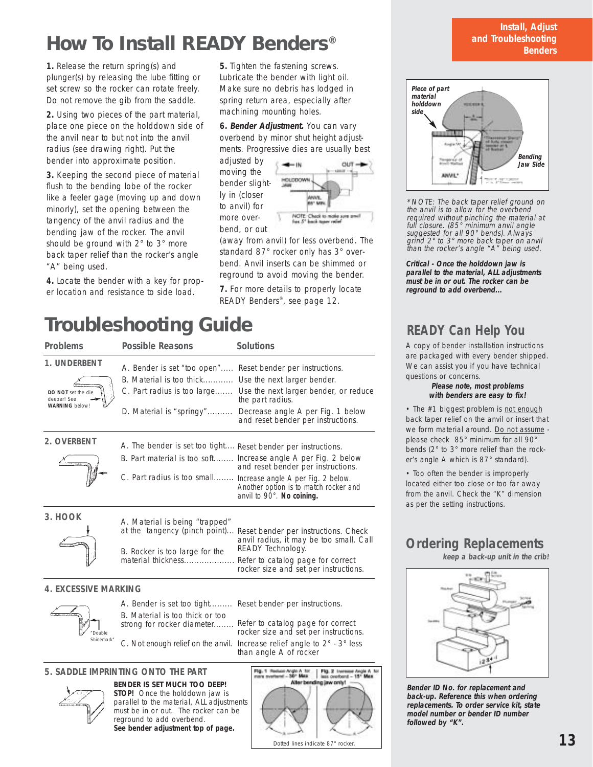## **How To Install READY Benders®**

**1.** Release the return spring(s) and plunger(s) by releasing the lube fitting or set screw so the rocker can rotate freely. Do not remove the gib from the saddle.

**2.** Using two pieces of the part material, place one piece on the holddown side of the anvil near to but not into the anvil radius (see drawing right). Put the bender into approximate position.

**3.** Keeping the second piece of material flush to the bending lobe of the rocker like a feeler gage (moving up and down minorly), set the opening between the tangency of the anvil radius and the bending jaw of the rocker. The anvil should be ground with 2° to 3° more back taper relief than the rocker's angle "A" being used.

**4.** Locate the bender with a key for proper location and resistance to side load.

**5.** Tighten the fastening screws. Lubricate the bender with light oil. Make sure no debris has lodged in spring return area, especially after machining mounting holes.

**6. Bender Adjustment.** You can vary overbend by minor shut height adjustments. Progressive dies are usually best

adjusted by moving the bender slightly in (closer to anvil) for more overbend, or out



(away from anvil) for less overbend. The standard 87° rocker only has 3° overbend. Anvil inserts can be shimmed or reground to avoid moving the bender.

**7.** For more details to properly locate READY Benders®, see page 12.

## **Troubleshooting Guide**

| <b>Problems</b>                                            | <b>Possible Reasons</b>                                       | <b>Solutions</b>                                                                                                                     |
|------------------------------------------------------------|---------------------------------------------------------------|--------------------------------------------------------------------------------------------------------------------------------------|
| 1. UNDERBENT                                               | A. Bender is set "too open" Reset bender per instructions.    |                                                                                                                                      |
|                                                            | B. Material is too thick Use the next larger bender.          |                                                                                                                                      |
| DO NOT set the die<br>deeper! See<br><b>WARNING</b> below! |                                                               | C. Part radius is too large Use the next larger bender, or reduce<br>the part radius.                                                |
|                                                            | D. Material is "springy"                                      | Decrease angle A per Fig. 1 below<br>and reset bender per instructions.                                                              |
| 2. OVERBENT                                                | A. The bender is set too tight Reset bender per instructions. |                                                                                                                                      |
|                                                            |                                                               | B. Part material is too soft Increase angle A per Fig. 2 below<br>and reset bender per instructions.                                 |
|                                                            |                                                               | C. Part radius is too small Increase angle A per Fig. 2 below.<br>Another option is to match rocker and<br>anvil to 90°. No coining. |
| 3. HOOK                                                    | A. Material is being "trapped"                                |                                                                                                                                      |
|                                                            | at the tangency (pinch point)                                 | Reset bender per instructions. Check<br>anvil radius, it may be too small. Call                                                      |
|                                                            | R. Pocker is too large for the                                | READY Technology.                                                                                                                    |

#### **4. EXCESSIVE MARKING**



A. Bender is set too tight......... Reset bender per instructions. B. Material is too thick or too

B. Rocker is too large for the material thickness....................

strong for rocker diameter........

C. Not enough relief on the anvil.

Refer to catalog page for correct rocker size and set per instructions.

Refer to catalog page for correct rocker size and set per instructions.

Increase relief angle to 2° - 3° less than angle A of rocker

#### **BENDER IS SET MUCH TOO DEEP! 5. SADDLE IMPRINTING ONTO THE PART**



**STOP!** Once the holddown jaw is parallel to the material, ALL adjustments must be in or out. The rocker can be reground to add overbend. **See bender adjustment top of page.**



#### **Install, Adjust and Troubleshooting Benders**



\*NOTE: The back taper relief ground on the anvil is to allow for the overbend required without pinching the material at full closure. (85° minimum anvil angle suggested for all 90° bends). Always grind 2° to 3° more back taper on anvil than the rocker's angle "A" being used.

**Critical - Once the holddown jaw is parallel to the material, ALL adjustments must be in or out. The rocker can be reground to add overbend...**

## **READY Can Help You**

A copy of bender installation instructions are packaged with every bender shipped. We can assist you if you have technical questions or concerns.

#### **Please note, most problems with benders are easy to fix!**

• The #1 biggest problem is not enough back taper relief on the anvil or insert that we form material around. Do not assume please check 85° minimum for all 90° bends (2° to 3° more relief than the rocker's angle A which is 87° standard).

• Too often the bender is improperly located either too close or too far away from the anvil. Check the "K" dimension as per the setting instructions.

## **Ordering Replacements**

**keep a back-up unit in the crib!**



**Bender ID No. for replacement and back-up. Reference this when ordering replacements. To order service kit, state model number or bender ID number followed by "K".**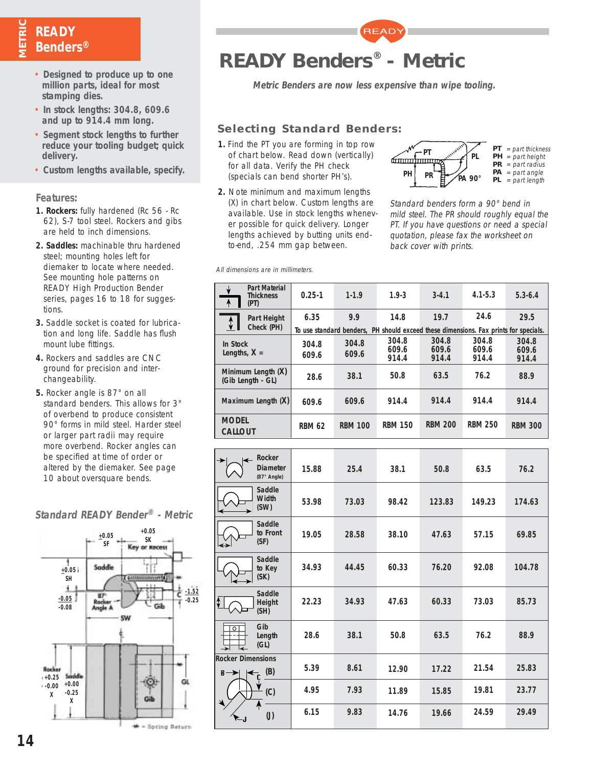## **METRIC READY Benders®**

- **Designed to produce up to one million parts, ideal for most stamping dies.**
- **In stock lengths: 304.8, 609.6 and up to 914.4 mm long.**
- **Segment stock lengths to further reduce your tooling budget; quick delivery.**
- **Custom lengths available, specify.**

#### **Features:**

- **1. Rockers:** fully hardened (Rc 56 Rc 62), S-7 tool steel. Rockers and gibs are held to inch dimensions.
- **2. Saddles:** machinable thru hardened steel; mounting holes left for diemaker to locate where needed. See mounting hole patterns on READY High Production Bender series, pages 16 to 18 for suggestions.
- **3.** Saddle socket is coated for lubrication and long life. Saddle has flush mount lube fittings.
- **4.** Rockers and saddles are CNC ground for precision and interchangeability.
- **5.** Rocker angle is 87° on all standard benders. This allows for 3° of overbend to produce consistent 90° forms in mild steel. Harder steel or larger part radii may require more overbend. Rocker angles can be specified at time of order or altered by the diemaker. See page 10 about oversquare bends.

## **Standard READY Bender® - Metric**



**READY Benders® - Metric**

**Metric Benders are now less expensive than wipe tooling.**

**READY** 

### **Selecting Standard Benders:**

- **1.** Find the PT you are forming in top row of chart below. Read down (vertically) for all data. Verify the PH check (specials can bend shorter PH's).
- **2.** Note minimum and maximum lengths (X) in chart below. Custom lengths are available. Use in stock lengths whenever possible for quick delivery. Longer lengths achieved by butting units endto-end, .254 mm gap between.



Standard benders form a 90° bend in mild steel. The PR should roughly equal the PT. If you have questions or need a special quotation, please fax the worksheet on back cover with prints.

All dimensions are in millimeters.

| <b>Part Material</b><br>₩<br><b>Thickness</b><br>$\overline{A}$<br>(PT) | $0.25 - 1$     | $1 - 1.9$                                                                            | $1.9 - 3$               | $3 - 4.1$               | $4.1 - 5.3$             | $5.3 - 6.4$             |
|-------------------------------------------------------------------------|----------------|--------------------------------------------------------------------------------------|-------------------------|-------------------------|-------------------------|-------------------------|
| Part Height<br>$\hat{\mathbf{v}}$<br>Check (PH)                         | 6.35           | 9.9                                                                                  | 14.8                    | 19.7                    | 24.6                    | 29.5                    |
|                                                                         |                | To use standard benders, PH should exceed these dimensions. Fax prints for specials. |                         |                         |                         |                         |
| In Stock<br>Lengths, $X =$                                              | 304.8<br>609.6 | 304.8<br>609.6                                                                       | 304.8<br>609.6<br>914.4 | 304.8<br>609.6<br>914.4 | 304.8<br>609.6<br>914.4 | 304.8<br>609.6<br>914.4 |
| Minimum Length (X)<br>(Gib Length - GL)                                 | 28.6           | 38.1                                                                                 | 50.8                    | 63.5                    | 76.2                    | 88.9                    |
| Maximum Length (X)                                                      | 609.6          | 609.6                                                                                | 914.4                   | 914.4                   | 914.4                   | 914.4                   |
| <b>MODEL</b><br><b>CALLOUT</b>                                          | <b>RBM 62</b>  | <b>RBM 100</b>                                                                       | <b>RBM 150</b>          | <b>RBM 200</b>          | <b>RBM 250</b>          | <b>RBM 300</b>          |

| $\leftarrow$<br>→                 | Rocker<br><b>Diameter</b><br>$(87°$ Angle) | 15.88 | 25.4  | 38.1  | 50.8   | 63.5   | 76.2   |
|-----------------------------------|--------------------------------------------|-------|-------|-------|--------|--------|--------|
|                                   | Saddle<br>Width<br>(SW)                    | 53.98 | 73.03 | 98.42 | 123.83 | 149.23 | 174.63 |
| $\leftrightarrow$                 | Saddle<br>to Front<br>(SF)                 | 19.05 | 28.58 | 38.10 | 47.63  | 57.15  | 69.85  |
|                                   | Saddle<br>to Key<br>(SK)                   | 34.93 | 44.45 | 60.33 | 76.20  | 92.08  | 104.78 |
| ⇕                                 | Saddle<br>Height<br>(SH)                   | 22.23 | 34.93 | 47.63 | 60.33  | 73.03  | 85.73  |
| $\overline{\circ}$                | Gib<br>Length<br>(GL)                      | 28.6  | 38.1  | 50.8  | 63.5   | 76.2   | 88.9   |
| <b>Rocker Dimensions</b><br>$B -$ | (B)<br>$\leftarrow$                        | 5.39  | 8.61  | 12.90 | 17.22  | 21.54  | 25.83  |
|                                   | (C)                                        | 4.95  | 7.93  | 11.89 | 15.85  | 19.81  | 23.77  |
| ्…                                | $\left( \mathsf{J}\right)$                 | 6.15  | 9.83  | 14.76 | 19.66  | 24.59  | 29.49  |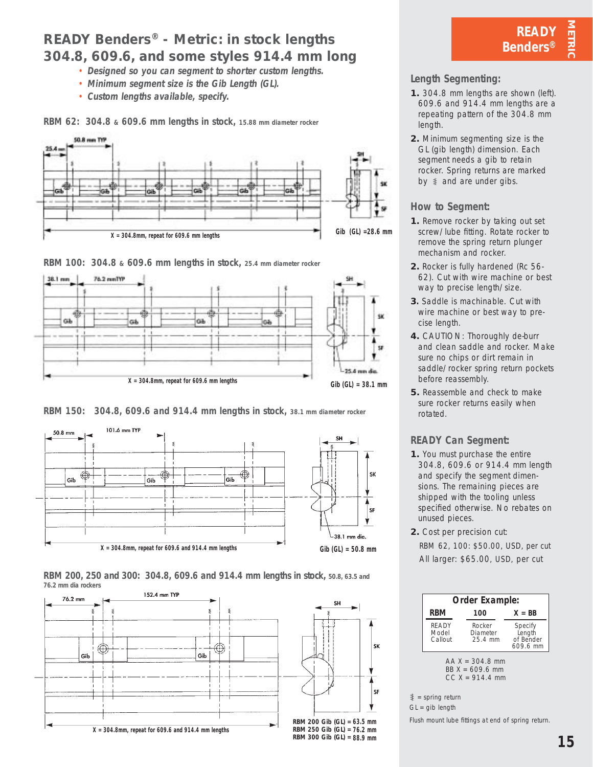## **READY Benders® - Metric: in stock lengths 304.8, 609.6, and some styles 914.4 mm long**

- **Designed so you can segment to shorter custom lengths.**
- **Minimum segment size is the Gib Length (GL).**
- **Custom lengths available, specify.**

**RBM 62: 304.8 & 609.6 mm lengths in stock, 15.88 mm diameter rocker**







**RBM 150: 304.8, 609.6 and 914.4 mm lengths in stock, 38.1 mm diameter rocker**



**RBM 200, 250 and 300: 304.8, 609.6 and 914.4 mm lengths in stock, 50.8, 63.5 and 76.2 mm dia rockers** 



**READY Benders®**

**METRIC** 

### **Length Segmenting:**

- **1.** 304.8 mm lengths are shown (left). 609.6 and 914.4 mm lengths are a repeating pattern of the 304.8 mm length.
- **2.** Minimum segmenting size is the GL (gib length) dimension. Each segment needs a gib to retain rocker. Spring returns are marked by  $\ddagger$  and are under gibs.

#### **How to Segment:**

- **1.** Remove rocker by taking out set screw/lube fitting. Rotate rocker to remove the spring return plunger mechanism and rocker.
- **2.** Rocker is fully hardened (Rc 56- 62). Cut with wire machine or best way to precise length/size.
- **3.** Saddle is machinable. Cut with wire machine or best way to precise length.
- **4.** CAUTION: Thoroughly de-burr and clean saddle and rocker. Make sure no chips or dirt remain in saddle/rocker spring return pockets before reassembly.
- **5.** Reassemble and check to make sure rocker returns easily when rotated.

## **READY Can Segment:**

- **1.** You must purchase the entire 304.8, 609.6 or 914.4 mm length and specify the segment dimensions. The remaining pieces are shipped with the tooling unless specified otherwise. No rebates on unused pieces.
- **2.** Cost per precision cut: RBM 62, 100: \$50.00, USD, per cut All larger: \$65.00, USD, per cut



 $GL = gib$  length

Flush mount lube fittings at end of spring return.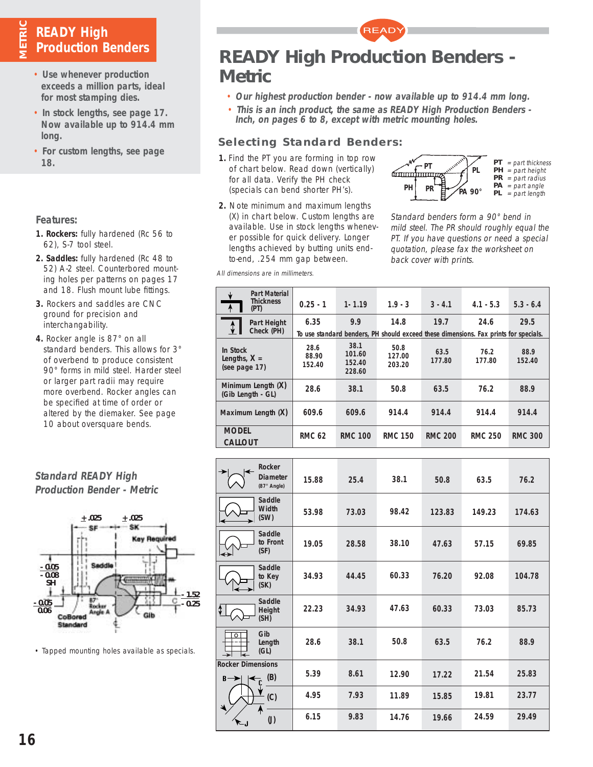## **READY High Production Benders**

**METRIC**

- **Use whenever production exceeds a million parts, ideal for most stamping dies.**
- **In stock lengths, see page 17. Now available up to 914.4 mm long.**
- **For custom lengths, see page 18.**

### **Features:**

- **1. Rockers:** fully hardened (Rc 56 to 62), S-7 tool steel.
- **2. Saddles:** fully hardened (Rc 48 to 52) A-2 steel. Counterbored mounting holes per patterns on pages 17 and 18. Flush mount lube fittings.
- **3.** Rockers and saddles are CNC ground for precision and interchangability.
- **4.** Rocker angle is 87° on all standard benders. This allows for 3° of overbend to produce consistent 90° forms in mild steel. Harder steel or larger part radii may require more overbend. Rocker angles can be specified at time of order or altered by the diemaker. See page 10 about oversquare bends.

|         | <b>Production Bender - Metric</b> |
|---------|-----------------------------------|
| $+.025$ | $+.025$                           |
|         |                                   |
|         |                                   |

**Standard READY High**



• Tapped mounting holes available as specials.

**READY High Production Benders - Metric**

• **Our highest production bender - now available up to 914.4 mm long.**

**READ** 

• **This is an inch product, the same as READY High Production Benders - Inch, on pages 6 to 8, except with metric mounting holes.**

## **Selecting Standard Benders:**

- **1.** Find the PT you are forming in top row of chart below. Read down (vertically) for all data. Verify the PH check (specials can bend shorter PH's).
- **2.** Note minimum and maximum lengths (X) in chart below. Custom lengths are available. Use in stock lengths whenever possible for quick delivery. Longer lengths achieved by butting units endto-end, .254 mm gap between.



Standard benders form a 90° bend in mild steel. The PR should roughly equal the PT. If you have questions or need a special quotation, please fax the worksheet on back cover with prints.

All dimensions are in millimeters.

| <b>Part Material</b><br><b>Thickness</b><br>$\overline{A}$<br>(PT) | $0.25 - 1$              | $1 - 1.19$                         | $1.9 - 3$                | $3 - 4.1$      | $4.1 - 5.3$                                                                                  | $5.3 - 6.4$    |
|--------------------------------------------------------------------|-------------------------|------------------------------------|--------------------------|----------------|----------------------------------------------------------------------------------------------|----------------|
| Part Height<br>$\hat{\mathbf{v}}$<br>Check (PH)                    | 6.35                    | 9.9                                | 14.8                     | 19.7           | 24.6<br>To use standard benders, PH should exceed these dimensions. Fax prints for specials. | 29.5           |
| In Stock<br>Lengths, $X =$<br>(see page 17)                        | 28.6<br>88.90<br>152.40 | 38.1<br>101.60<br>152.40<br>228.60 | 50.8<br>127.00<br>203.20 | 63.5<br>177.80 | 76.2<br>177.80                                                                               | 88.9<br>152.40 |
| Minimum Length (X)<br>(Gib Length - GL)                            | 28.6                    | 38.1                               | 50.8                     | 63.5           | 76.2                                                                                         | 88.9           |
| Maximum Length (X)                                                 | 609.6                   | 609.6                              | 914.4                    | 914.4          | 914.4                                                                                        | 914.4          |
| <b>MODEL</b><br><b>CALLOUT</b>                                     | <b>RMC 62</b>           | <b>RMC 100</b>                     | <b>RMC 150</b>           | <b>RMC 200</b> | <b>RMC 250</b>                                                                               | <b>RMC 300</b> |

| $\left  \leftarrow \right $                             | Rocker<br><b>Diameter</b><br>(87° Angle) | 15.88 | 25.4  | 38.1  | 50.8   | 63.5   | 76.2   |
|---------------------------------------------------------|------------------------------------------|-------|-------|-------|--------|--------|--------|
|                                                         | Saddle<br>Width<br>(SW)                  | 53.98 | 73.03 | 98.42 | 123.83 | 149.23 | 174.63 |
| ଭ                                                       | Saddle<br>to Front<br>(SF)               | 19.05 | 28.58 | 38.10 | 47.63  | 57.15  | 69.85  |
|                                                         | Saddle<br>to Key<br>(SK)                 | 34.93 | 44.45 | 60.33 | 76.20  | 92.08  | 104.78 |
| ⇕                                                       | Saddle<br>Height<br>(SH)                 | 22.23 | 34.93 | 47.63 | 60.33  | 73.03  | 85.73  |
| ठ<br>$\rightarrow$<br>$\leftarrow$                      | Gib<br>Length<br>(GL)                    | 28.6  | 38.1  | 50.8  | 63.5   | 76.2   | 88.9   |
| <b>Rocker Dimensions</b><br>B→<br>$\blacktriangleright$ | (B)                                      | 5.39  | 8.61  | 12.90 | 17.22  | 21.54  | 25.83  |
|                                                         | (C)                                      | 4.95  | 7.93  | 11.89 | 15.85  | 19.81  | 23.77  |
|                                                         | $\left( \mathsf{J}\right)$               | 6.15  | 9.83  | 14.76 | 19.66  | 24.59  | 29.49  |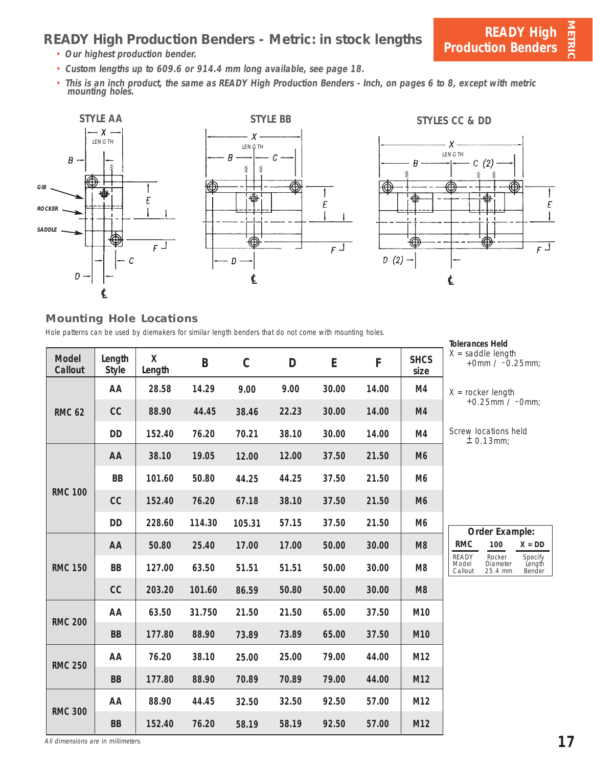## **READY High Production Benders - Metric: in stock lengths**

- **Our highest production bender.**
- **Custom lengths up to 609.6 or 914.4 mm long available, see page 18.**
- **This is an inch product, the same as READY High Production Benders Inch, on pages 6 to 8, except with metric mounting holes.**



#### **Mounting Hole Locations**

Hole patterns can be used by diemakers for similar length benders that do not come with mounting holes.

|                         |                        |             |        |             |       |       |       |                     | <b>Tolerances Held</b>                                                                    |
|-------------------------|------------------------|-------------|--------|-------------|-------|-------|-------|---------------------|-------------------------------------------------------------------------------------------|
| <b>Model</b><br>Callout | Length<br><b>Style</b> | X<br>Length | B      | $\mathbf C$ | D     | E     | F     | <b>SHCS</b><br>size | $X =$ saddle length<br>+0mm / $-0.25$ mm;                                                 |
|                         | AA                     | 28.58       | 14.29  | 9.00        | 9.00  | 30.00 | 14.00 | M4                  | $X =$ rocker length                                                                       |
| <b>RMC 62</b>           | cc                     | 88.90       | 44.45  | 38.46       | 22.23 | 30.00 | 14.00 | M4                  | +0.25mm / $-0$ mm;                                                                        |
|                         | <b>DD</b>              | 152.40      | 76.20  | 70.21       | 38.10 | 30.00 | 14.00 | M4                  | Screw locations held<br>$± 0.13$ mm;                                                      |
|                         | AA                     | 38.10       | 19.05  | 12.00       | 12.00 | 37.50 | 21.50 | M <sub>6</sub>      |                                                                                           |
|                         | <b>BB</b>              | 101.60      | 50.80  | 44.25       | 44.25 | 37.50 | 21.50 | M <sub>6</sub>      |                                                                                           |
| <b>RMC 100</b>          | cc                     | 152.40      | 76.20  | 67.18       | 38.10 | 37.50 | 21.50 | M <sub>6</sub>      |                                                                                           |
|                         | <b>DD</b>              | 228.60      | 114.30 | 105.31      | 57.15 | 37.50 | 21.50 | M <sub>6</sub>      | Order Example:                                                                            |
|                         | AA                     | 50.80       | 25.40  | 17.00       | 17.00 | 50.00 | 30.00 | M <sub>8</sub>      | <b>RMC</b><br>100<br>$X = DD$                                                             |
| <b>RMC 150</b>          | <b>BB</b>              | 127.00      | 63.50  | 51.51       | 51.51 | 50.00 | 30.00 | M <sub>8</sub>      | READY<br>Rocker<br>Specify<br>Length<br>Bender<br>Model<br>Diameter<br>25.4 mm<br>Callout |
|                         | cc                     | 203.20      | 101.60 | 86.59       | 50.80 | 50.00 | 30.00 | M <sub>8</sub>      |                                                                                           |
| <b>RMC 200</b>          | AA                     | 63.50       | 31.750 | 21.50       | 21.50 | 65.00 | 37.50 | M10                 |                                                                                           |
|                         | <b>BB</b>              | 177.80      | 88.90  | 73.89       | 73.89 | 65.00 | 37.50 | M10                 |                                                                                           |
| <b>RMC 250</b>          | AA                     | 76.20       | 38.10  | 25.00       | 25.00 | 79.00 | 44.00 | M12                 |                                                                                           |
|                         | <b>BB</b>              | 177.80      | 88.90  | 70.89       | 70.89 | 79.00 | 44.00 | M12                 |                                                                                           |
| <b>RMC 300</b>          | AA                     | 88.90       | 44.45  | 32.50       | 32.50 | 92.50 | 57.00 | M12                 |                                                                                           |
|                         | <b>BB</b>              | 152.40      | 76.20  | 58.19       | 58.19 | 92.50 | 57.00 | M12                 |                                                                                           |

All dimensions are in millimeters. **17**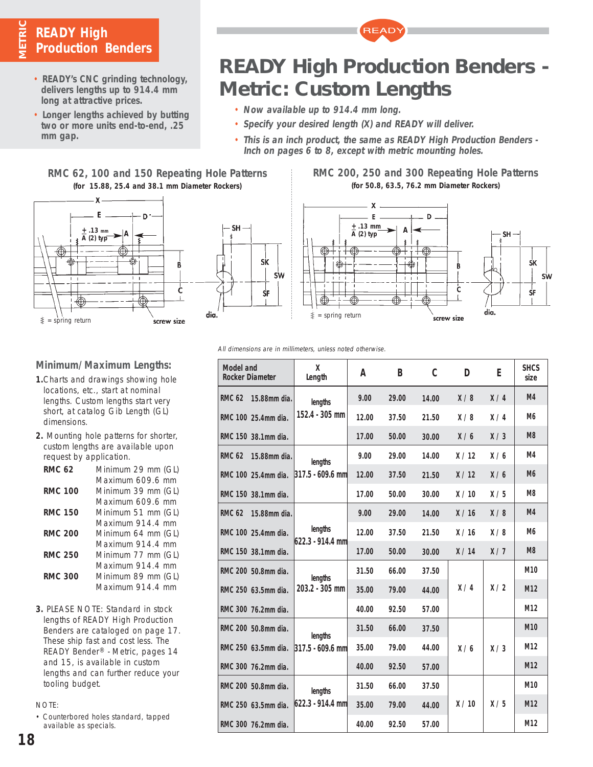## **METRIC READY High Production Benders**

- **READY's CNC grinding technology, delivers lengths up to 914.4 mm long at attractive prices.**
- **Longer lengths achieved by butting two or more units end-to-end, .25 mm gap.**

## **READY High Production Benders - Metric: Custom Lengths**

**READY** 

- **Now available up to 914.4 mm long.**
- **Specify your desired length (X) and READY will deliver.**
- **This is an inch product, the same as READY High Production Benders Inch on pages 6 to 8, except with metric mounting holes.**

### **RMC 62, 100 and 150 Repeating Hole Patterns (for 15.88, 25.4 and 38.1 mm Diameter Rockers)**





#### **RMC 200, 250 and 300 Repeating Hole Patterns (for 50.8, 63.5, 76.2 mm Diameter Rockers)**



#### All dimensions are in millimeters, unless noted otherwise.

| Model and<br><b>Rocker Diameter</b> | X<br>Length                 | А     | B     | C     | D    | E   | <b>SHCS</b><br>size |
|-------------------------------------|-----------------------------|-------|-------|-------|------|-----|---------------------|
| <b>RMC 62</b><br>15.88mm dia.       | lengths                     | 9.00  | 29.00 | 14.00 | X/8  | X/4 | M <sub>4</sub>      |
| RMC 100 25.4mm dia.                 | 152.4 - 305 mm              | 12.00 | 37.50 | 21.50 | X/8  | X/4 | M <sub>6</sub>      |
| RMC 150 38.1mm dia.                 |                             | 17.00 | 50.00 | 30.00 | X/6  | X/3 | M <sub>8</sub>      |
| <b>RMC 62</b><br>15.88mm dia.       | lengths                     | 9.00  | 29.00 | 14.00 | X/12 | X/6 | M4                  |
| RMC 100 25.4mm dia.                 | 317.5 - 609.6 mm            | 12.00 | 37.50 | 21.50 | X/12 | X/6 | M <sub>6</sub>      |
| RMC 150 38.1mm dia.                 |                             | 17.00 | 50.00 | 30.00 | X/10 | X/5 | M <sub>8</sub>      |
| <b>RMC 62</b><br>15.88mm dia.       |                             | 9.00  | 29.00 | 14.00 | X/16 | X/8 | M <sub>4</sub>      |
| RMC 100 25.4mm dia.                 | lengths<br>622.3 - 914.4 mm | 12.00 | 37.50 | 21.50 | X/16 | X/8 | M <sub>6</sub>      |
| RMC 150 38.1mm dia.                 |                             | 17.00 | 50.00 | 30.00 | X/14 | X/7 | M <sub>8</sub>      |
| RMC 200 50.8mm dia.                 | lengths                     | 31.50 | 66.00 | 37.50 |      |     | M <sub>10</sub>     |
| RMC 250 63.5mm dia.                 | 203.2 - 305 mm              | 35.00 | 79.00 | 44.00 | X/4  | X/2 | M <sub>12</sub>     |
| RMC 300 76.2mm dia.                 |                             | 40.00 | 92.50 | 57.00 |      |     | M <sub>12</sub>     |
| RMC 200 50.8mm dia.                 | lengths                     | 31.50 | 66.00 | 37.50 |      |     | M <sub>10</sub>     |
| RMC 250 63.5mm dia.                 | 317.5 - 609.6 mm            | 35.00 | 79.00 | 44.00 | X/6  | X/3 | M12                 |
| RMC 300 76.2mm dia.                 |                             | 40.00 | 92.50 | 57.00 |      |     | M12                 |
| RMC 200 50.8mm dia.                 | lengths                     | 31.50 | 66.00 | 37.50 |      |     | M <sub>10</sub>     |
| RMC 250 63.5mm dia.                 | 622.3 - 914.4 mm            | 35.00 | 79.00 | 44.00 | X/10 | X/5 | M <sub>12</sub>     |
| RMC 300 76.2mm dia.                 |                             | 40.00 | 92.50 | 57.00 |      |     | M12                 |

## **Minimum/Maximum Lengths:**

- **1.**Charts and drawings showing hole locations, etc., start at nominal lengths. Custom lengths start very short, at catalog Gib Length (GL) dimensions.
- **2.** Mounting hole patterns for shorter, custom lengths are available upon request by application.

| Minimum 29 mm (GL) |
|--------------------|
| Maximum 609.6 mm   |
| Minimum 39 mm (GL) |
| Maximum 609.6 mm   |
| Minimum 51 mm (GL) |
| Maximum 914.4 mm   |
| Minimum 64 mm (GL) |
| Maximum 914.4 mm   |
| Minimum 77 mm (GL) |
| Maximum 914.4 mm   |
| Minimum 89 mm (GL) |
| Maximum 914.4 mm   |
|                    |

**3.** PLEASE NOTE: Standard in stock lengths of READY High Production Benders are cataloged on page 17. These ship fast and cost less. The READY Bender® - Metric, pages 14 and 15, is available in custom lengths and can further reduce your tooling budget.

NOTE:

• Counterbored holes standard, tapped available as specials.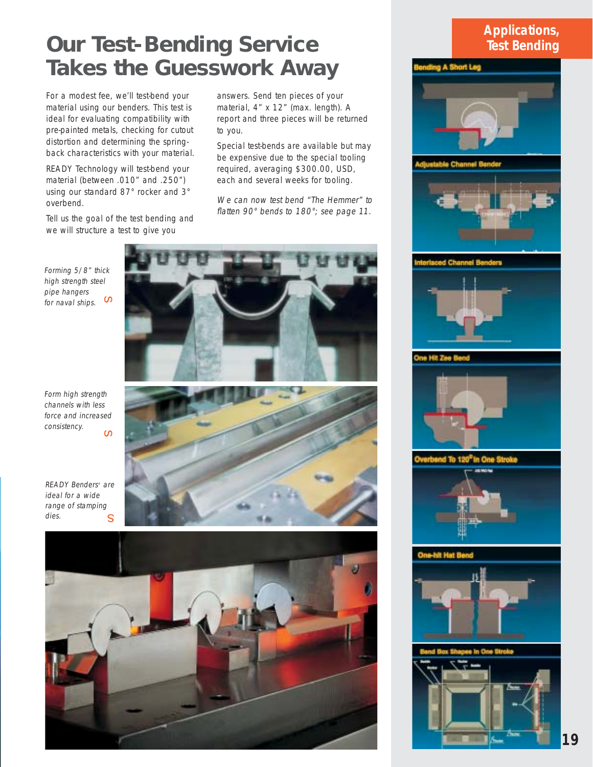## **Our Test-Bending Service Takes the Guesswork Away**

For a modest fee, we'll test-bend your material using our benders. This test is ideal for evaluating compatibility with pre-painted metals, checking for cutout distortion and determining the springback characteristics with your material.

READY Technology will test-bend your material (between .010" and .250") using our standard 87° rocker and 3° overbend.

Tell us the goal of the test bending and we will structure a test to give you

answers. Send ten pieces of your material, 4" x 12" (max. length). A report and three pieces will be returned to you.

Special test-bends are available but may be expensive due to the special tooling required, averaging \$300.00, USD, each and several weeks for tooling.

We can now test bend "The Hemmer" to flatten 90° bends to 180°; see page 11.

Forming 5/8" thick high strength steel pipe hangers for naval ships.  $^{\text{\tiny{\textsf{U}}}}$ 



READY Benders<sup>®</sup> are ideal for a wide range of stamping dies. s







## **Applications, Test Bending**



**19**